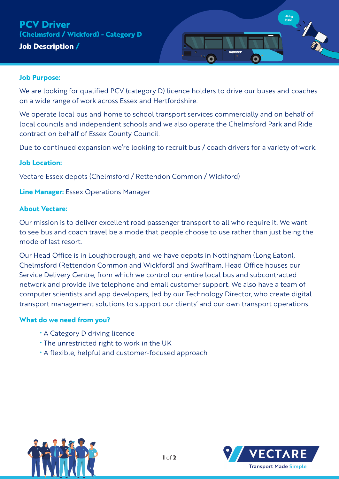# **Job Description / PCV Driver (Chelmsford / Wickford) - Category D**



### **Job Purpose:**

We are looking for qualified PCV (category D) licence holders to drive our buses and coaches on a wide range of work across Essex and Hertfordshire.

We operate local bus and home to school transport services commercially and on behalf of local councils and independent schools and we also operate the Chelmsford Park and Ride contract on behalf of Essex County Council.

Due to continued expansion we're looking to recruit bus / coach drivers for a variety of work.

### **Job Location:**

Vectare Essex depots (Chelmsford / Rettendon Common / Wickford)

**Line Manager:** Essex Operations Manager

### **About Vectare:**

Our mission is to deliver excellent road passenger transport to all who require it. We want to see bus and coach travel be a mode that people choose to use rather than just being the mode of last resort.

Our Head Office is in Loughborough, and we have depots in Nottingham (Long Eaton), Chelmsford (Rettendon Common and Wickford) and Swaffham. Head Office houses our Service Delivery Centre, from which we control our entire local bus and subcontracted network and provide live telephone and email customer support. We also have a team of computer scientists and app developers, led by our Technology Director, who create digital transport management solutions to support our clients' and our own transport operations.

### **What do we need from you?**

- A Category D driving licence
- The unrestricted right to work in the UK
- A flexible, helpful and customer-focused approach